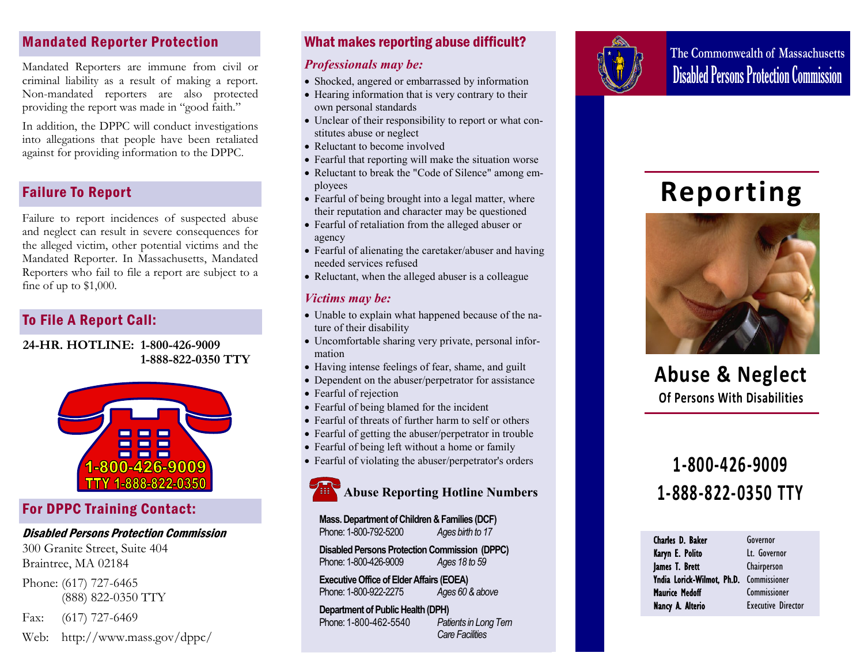## Mandated Reporter Protection

Mandated Reporters are immune from civil or criminal liability as a result of making a report. Non-mandated reporters are also protected providing the report was made in "good faith."

In addition, the DPPC will conduct investigations into allegations that people have been retaliated against for providing information to the DPPC.

## Failure To Report

Failure to report incidences of suspected abuse and neglect can result in severe consequences for the alleged victim, other potential victims and the Mandated Reporter. In Massachusetts, Mandated Reporters who fail to file a report are subject to a fine of up to \$1,000.

## To File A Report Call:

**24-HR. HOTLINE: 1-800-426-9009 1-888-822-0350 TTY** 



## For DPPC Training Contact:

### Disabled Persons Protection Commission

300 Granite Street, Suite 404 Braintree, MA 02184

Phone: (617) 727-6465 (888) 822-0350 TTY

Fax: (617) 727-6469

Web: http://www.mass.gov/dppc/

## What makes reporting abuse difficult?

## *Professionals may be:*

- Shocked, angered or embarrassed by information
- Hearing information that is very contrary to their own personal standards
- Unclear of their responsibility to report or what constitutes abuse or neglect
- Reluctant to become involved
- Fearful that reporting will make the situation worse
- Reluctant to break the "Code of Silence" among employees
- Fearful of being brought into a legal matter, where their reputation and character may be questioned
- Fearful of retaliation from the alleged abuser or agency
- Fearful of alienating the caretaker/abuser and having needed services refused
- Reluctant, when the alleged abuser is a colleague

## *Victims may be:*

- Unable to explain what happened because of the nature of their disability
- Uncomfortable sharing very private, personal information
- Having intense feelings of fear, shame, and guilt
- Dependent on the abuser/perpetrator for assistance
- Fearful of rejection
- Fearful of being blamed for the incident
- Fearful of threats of further harm to self or others
- Fearful of getting the abuser/perpetrator in trouble
- Fearful of being left without a home or family
- Fearful of violating the abuser/perpetrator's orders



**Mass. Department of Children & Families (DCF)** Phone: 1-800-792-5200 *Ages birth to 17*

**Disabled Persons Protection Commission (DPPC)** Phone: 1-800-426-9009 *Ages 18 to 59*

**Executive Office of Elder Affairs (EOEA)**  Phone: 1-800-922-2275 *Ages 60 & above* 

**Department of Public Health (DPH)**  Phone: 1-800-462-5540 *Patients in Long Tern Care Facilities*



**The Commonwealth of Massachusetts**  Disabled Persons Protection Commission

# **Reporting**



**Abuse & Neglect Of Persons With Disabilities**

## **1-800-426-9009 1-888-822-0350 TTY**

| Charles D. Baker           | Governor                  |
|----------------------------|---------------------------|
| Karyn E. Polito            | Lt. Governor              |
| James T. Brett             | Chairperson               |
| Yndia Lorick-Wilmot, Ph.D. | Commissioner              |
| <b>Maurice Medoff</b>      | Commissioner              |
| Nancy A. Alterio           | <b>Executive Director</b> |